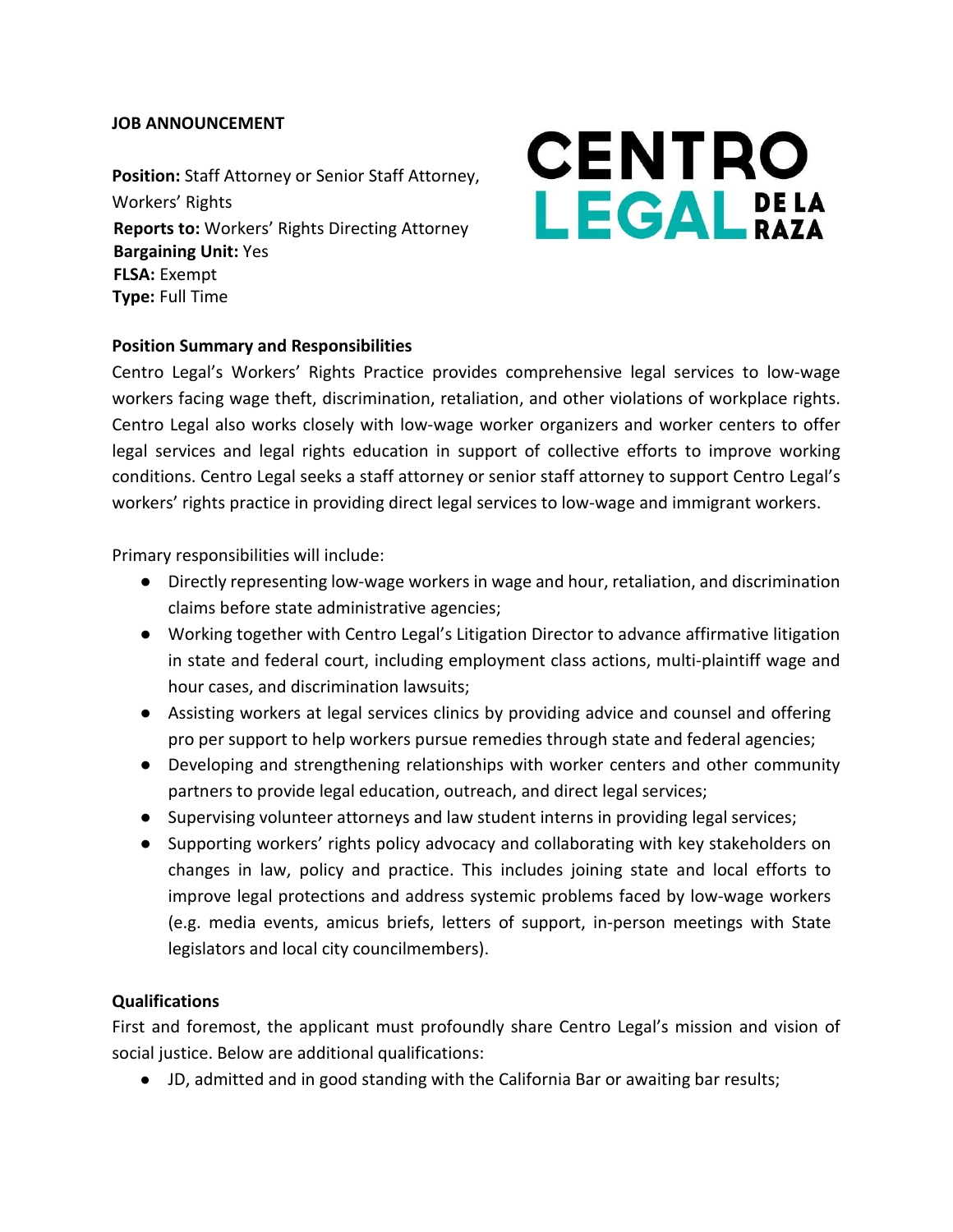## **JOB ANNOUNCEMENT**

**Position:** Staff Attorney or Senior Staff Attorney, Workers' Rights **Reports to:** Workers' Rights Directing Attorney **Bargaining Unit:** Yes **FLSA:** Exempt **Type:** Full Time

# **CENTRO LEGAL** BAZA

# **Position Summary and Responsibilities**

Centro Legal's Workers' Rights Practice provides comprehensive legal services to low-wage workers facing wage theft, discrimination, retaliation, and other violations of workplace rights. Centro Legal also works closely with low-wage worker organizers and worker centers to offer legal services and legal rights education in support of collective efforts to improve working conditions. Centro Legal seeks a staff attorney or senior staff attorney to support Centro Legal's workers' rights practice in providing direct legal services to low-wage and immigrant workers.

Primary responsibilities will include:

- Directly representing low-wage workers in wage and hour, retaliation, and discrimination claims before state administrative agencies;
- Working together with Centro Legal's Litigation Director to advance affirmative litigation in state and federal court, including employment class actions, multi-plaintiff wage and hour cases, and discrimination lawsuits;
- Assisting workers at legal services clinics by providing advice and counsel and offering pro per support to help workers pursue remedies through state and federal agencies;
- Developing and strengthening relationships with worker centers and other community partners to provide legal education, outreach, and direct legal services;
- Supervising volunteer attorneys and law student interns in providing legal services;
- Supporting workers' rights policy advocacy and collaborating with key stakeholders on changes in law, policy and practice. This includes joining state and local efforts to improve legal protections and address systemic problems faced by low-wage workers (e.g. media events, amicus briefs, letters of support, in-person meetings with State legislators and local city councilmembers).

## **Qualifications**

First and foremost, the applicant must profoundly share Centro Legal's mission and vision of social justice. Below are additional qualifications:

● JD, admitted and in good standing with the California Bar or awaiting bar results;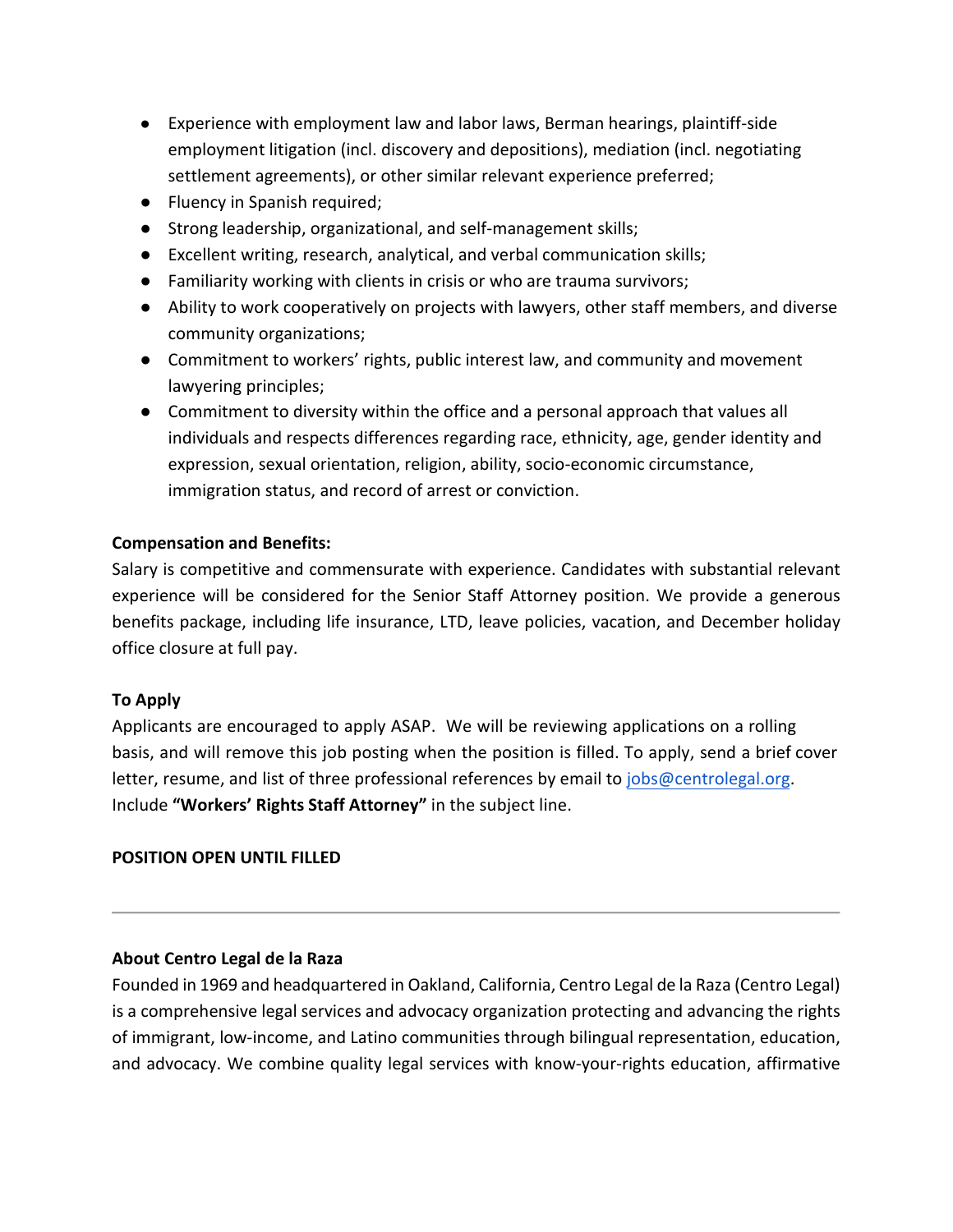- Experience with employment law and labor laws, Berman hearings, plaintiff-side employment litigation (incl. discovery and depositions), mediation (incl. negotiating settlement agreements), or other similar relevant experience preferred;
- Fluency in Spanish required;
- Strong leadership, organizational, and self-management skills;
- Excellent writing, research, analytical, and verbal communication skills;
- Familiarity working with clients in crisis or who are trauma survivors;
- Ability to work cooperatively on projects with lawyers, other staff members, and diverse community organizations;
- Commitment to workers' rights, public interest law, and community and movement lawyering principles;
- Commitment to diversity within the office and a personal approach that values all individuals and respects differences regarding race, ethnicity, age, gender identity and expression, sexual orientation, religion, ability, socio-economic circumstance, immigration status, and record of arrest or conviction.

## **Compensation and Benefits:**

Salary is competitive and commensurate with experience. Candidates with substantial relevant experience will be considered for the Senior Staff Attorney position. We provide a generous benefits package, including life insurance, LTD, leave policies, vacation, and December holiday office closure at full pay.

## **To Apply**

Applicants are encouraged to apply ASAP. We will be reviewing applications on a rolling basis, and will remove this job posting when the position is filled. To apply, send a brief cover letter, resume, and list of three professional references by email to [jobs@centrolegal.org.](mailto:jobs@centrolegal.org)  Include **"Workers' Rights Staff Attorney"** in the subject line.

## **POSITION OPEN UNTIL FILLED**

# **About Centro Legal de la Raza**

Founded in 1969 and headquartered in Oakland, California, Centro Legal de la Raza (Centro Legal) is a comprehensive legal services and advocacy organization protecting and advancing the rights of immigrant, low-income, and Latino communities through bilingual representation, education, and advocacy. We combine quality legal services with know-your-rights education, affirmative